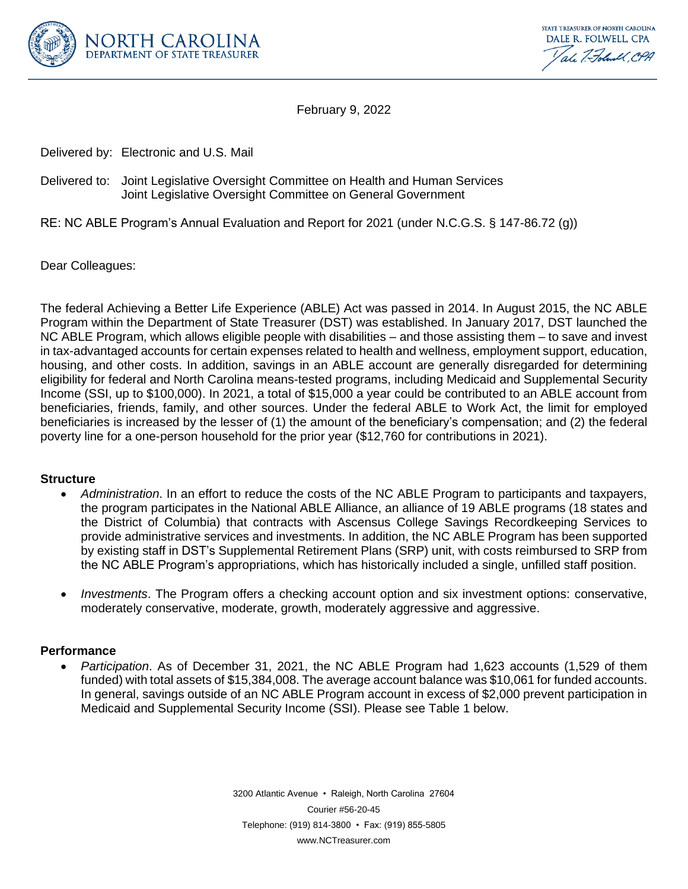

STATE TREASURER OF NORTH CAROLINA DALE R. FOLWELL, CPA ale 7. Foland CPA

February 9, 2022

Delivered by: Electronic and U.S. Mail

# Delivered to: Joint Legislative Oversight Committee on Health and Human Services Joint Legislative Oversight Committee on General Government

RE: NC ABLE Program's Annual Evaluation and Report for 2021 (under N.C.G.S. § 147-86.72 (g))

Dear Colleagues:

The federal Achieving a Better Life Experience (ABLE) Act was passed in 2014. In August 2015, the NC ABLE Program within the Department of State Treasurer (DST) was established. In January 2017, DST launched the NC ABLE Program, which allows eligible people with disabilities – and those assisting them – to save and invest in tax-advantaged accounts for certain expenses related to health and wellness, employment support, education, housing, and other costs. In addition, savings in an ABLE account are generally disregarded for determining eligibility for federal and North Carolina means-tested programs, including Medicaid and Supplemental Security Income (SSI, up to \$100,000). In 2021, a total of \$15,000 a year could be contributed to an ABLE account from beneficiaries, friends, family, and other sources. Under the federal ABLE to Work Act, the limit for employed beneficiaries is increased by the lesser of (1) the amount of the beneficiary's compensation; and (2) the federal poverty line for a one-person household for the prior year (\$12,760 for contributions in 2021).

### **Structure**

- *Administration*. In an effort to reduce the costs of the NC ABLE Program to participants and taxpayers, the program participates in the National ABLE Alliance, an alliance of 19 ABLE programs (18 states and the District of Columbia) that contracts with Ascensus College Savings Recordkeeping Services to provide administrative services and investments. In addition, the NC ABLE Program has been supported by existing staff in DST's Supplemental Retirement Plans (SRP) unit, with costs reimbursed to SRP from the NC ABLE Program's appropriations, which has historically included a single, unfilled staff position.
- *Investments*. The Program offers a checking account option and six investment options: conservative, moderately conservative, moderate, growth, moderately aggressive and aggressive.

## **Performance**

• *Participation*. As of December 31, 2021, the NC ABLE Program had 1,623 accounts (1,529 of them funded) with total assets of \$15,384,008. The average account balance was \$10,061 for funded accounts. In general, savings outside of an NC ABLE Program account in excess of \$2,000 prevent participation in Medicaid and Supplemental Security Income (SSI). Please see Table 1 below.

> 3200 Atlantic Avenue • Raleigh, North Carolina 27604 Courier #56-20-45 Telephone: (919) 814-3800 • Fax: (919) 855-5805 www.NCTreasurer.com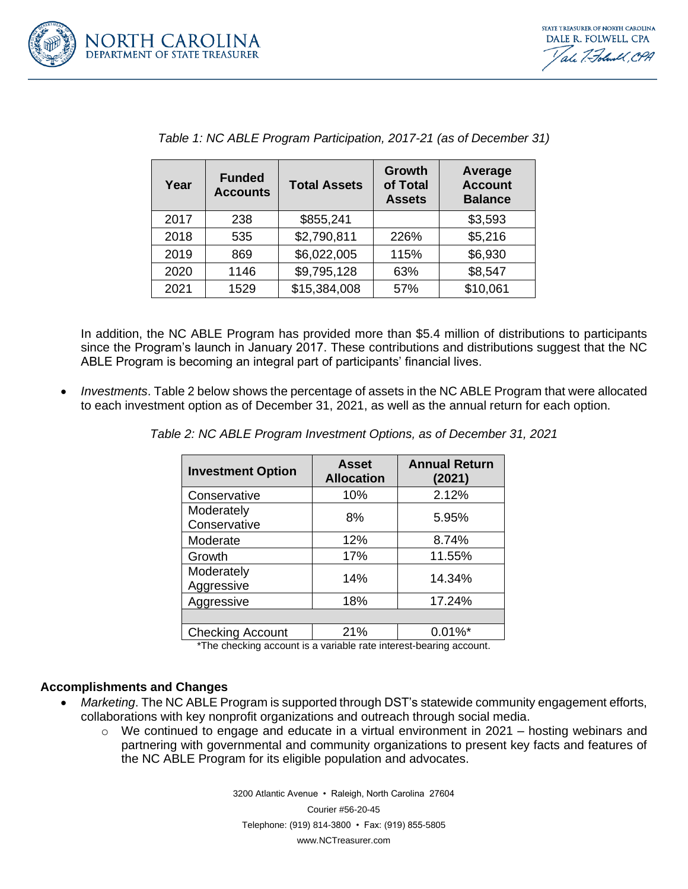

STATE TREASURER OF NORTH CAROLINA DALE R. FOLWELL, CPA ale 7. Foland CPA

| Year | <b>Funded</b><br><b>Accounts</b> | <b>Total Assets</b> | Growth<br>of Total<br><b>Assets</b> | <b>Average</b><br><b>Account</b><br><b>Balance</b> |
|------|----------------------------------|---------------------|-------------------------------------|----------------------------------------------------|
| 2017 | 238                              | \$855,241           |                                     | \$3,593                                            |
| 2018 | 535                              | \$2,790,811         | 226%                                | \$5,216                                            |
| 2019 | 869                              | \$6,022,005         | 115%                                | \$6,930                                            |
| 2020 | 1146                             | \$9,795,128         | 63%                                 | \$8,547                                            |
| 2021 | 1529                             | \$15,384,008        | 57%                                 | \$10,061                                           |

|  | Table 1: NC ABLE Program Participation, 2017-21 (as of December 31) |
|--|---------------------------------------------------------------------|
|  |                                                                     |

In addition, the NC ABLE Program has provided more than \$5.4 million of distributions to participants since the Program's launch in January 2017. These contributions and distributions suggest that the NC ABLE Program is becoming an integral part of participants' financial lives.

• *Investments*. Table 2 below shows the percentage of assets in the NC ABLE Program that were allocated to each investment option as of December 31, 2021, as well as the annual return for each option.

| <b>Investment Option</b>   | <b>Asset</b><br><b>Allocation</b> | <b>Annual Return</b><br>(2021) |
|----------------------------|-----------------------------------|--------------------------------|
| Conservative               | 10%                               | 2.12%                          |
| Moderately<br>Conservative | 8%                                | 5.95%                          |
| Moderate                   | 12%                               | 8.74%                          |
| Growth                     | 17%                               | 11.55%                         |
| Moderately<br>Aggressive   | 14%                               | 14.34%                         |
| Aggressive                 | 18%                               | 17.24%                         |
|                            |                                   |                                |
| <b>Checking Account</b>    | 21%                               | $0.01\%$ *                     |

*Table 2: NC ABLE Program Investment Options, as of December 31, 2021*

\*The checking account is a variable rate interest-bearing account.

#### **Accomplishments and Changes**

- *Marketing*. The NC ABLE Program is supported through DST's statewide community engagement efforts, collaborations with key nonprofit organizations and outreach through social media.
	- o We continued to engage and educate in a virtual environment in 2021 hosting webinars and partnering with governmental and community organizations to present key facts and features of the NC ABLE Program for its eligible population and advocates.

3200 Atlantic Avenue • Raleigh, North Carolina 27604 Courier #56-20-45 Telephone: (919) 814-3800 • Fax: (919) 855-5805 www.NCTreasurer.com